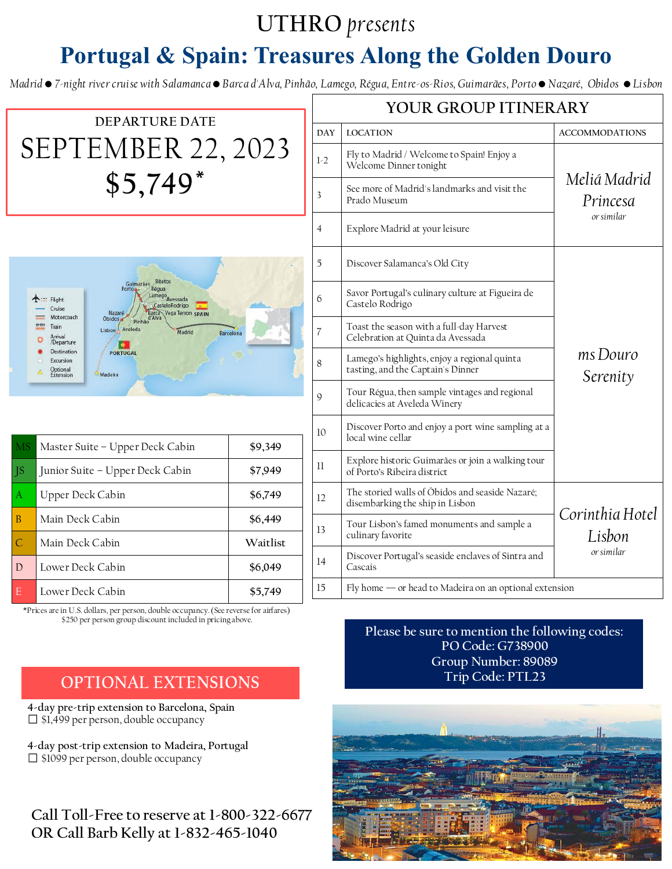## **UTHRO** *presents*

# **Portugal & Spain: Treasures Along the Golden Douro**

*Madrid • 7-night river cruise with Salamanca • Barca d'Alva, Pinhão, Lamego, Régua, Entre-os-Rios, Guimarães, Porto • Nazaré, Obidos • Lisbon*



\*Prices are in U.S. dollars, per person, double occupancy. (See reverse for airfares) \$250 per person group discount included in pricing above.

### **OPTIONAL EXTENSIONS**

**4-day pre-trip extension to Barcelona, Spain**  $\Box$  \$1,499 per person, double occupancy

**4-day post-trip extension to Madeira, Portugal**  $\Box$  \$1099 per person, double occupancy

**Call Toll-Free to reserve at 1-800-322-6677 OR Call Barb Kelly at 1-832-465-1040**

**Please be sure to mention the following codes: PO Code: G738900 Group Number: 89089 Trip Code: PTL23**